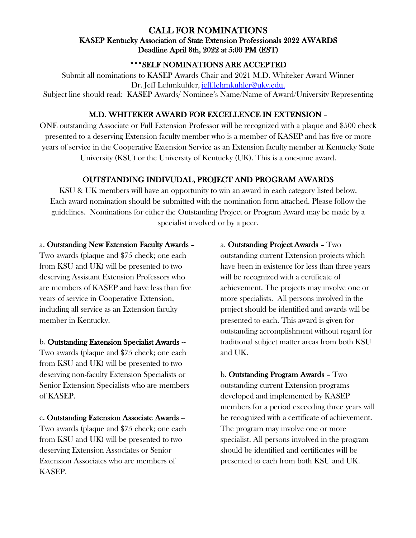# CALL FOR NOMINATIONS KASEP Kentucky Association of State Extension Professionals 2022 AWARDS Deadline April 8th, 2022 at 5:00 PM (EST)

# \*\*\*SELF NOMINATIONS ARE ACCEPTED

Submit all nominations to KASEP Awards Chair and 2021 M.D. Whiteker Award Winner Dr. Jeff Lehmkuhler, jeff.lehmkuhler@uky.edu. Subject line should read: KASEP Awards/ Nominee's Name/Name of Award/University Representing

### M.D. WHITEKER AWARD FOR EXCELLENCE IN EXTENSION –

ONE outstanding Associate or Full Extension Professor will be recognized with a plaque and \$500 check presented to a deserving Extension faculty member who is a member of KASEP and has five or more years of service in the Cooperative Extension Service as an Extension faculty member at Kentucky State University (KSU) or the University of Kentucky (UK). This is a one-time award.

# OUTSTANDING INDIVUDAL, PROJECT AND PROGRAM AWARDS

KSU & UK members will have an opportunity to win an award in each category listed below. Each award nomination should be submitted with the nomination form attached. Please follow the guidelines. Nominations for either the Outstanding Project or Program Award may be made by a specialist involved or by a peer.

#### a. Outstanding New Extension Faculty Awards –

Two awards (plaque and \$75 check; one each from KSU and UK) will be presented to two deserving Assistant Extension Professors who are members of KASEP and have less than five years of service in Cooperative Extension, including all service as an Extension faculty member in Kentucky.

#### b. Outstanding Extension Specialist Awards --

Two awards (plaque and \$75 check; one each from KSU and UK) will be presented to two deserving non-faculty Extension Specialists or Senior Extension Specialists who are members of KASEP.

c. Outstanding Extension Associate Awards -- Two awards (plaque and \$75 check; one each from KSU and UK) will be presented to two deserving Extension Associates or Senior Extension Associates who are members of KASEP.

### a. Outstanding Project Awards – Two

outstanding current Extension projects which have been in existence for less than three years will be recognized with a certificate of achievement. The projects may involve one or more specialists. All persons involved in the project should be identified and awards will be presented to each. This award is given for outstanding accomplishment without regard for traditional subject matter areas from both KSU and UK.

b. Outstanding Program Awards – Two outstanding current Extension programs developed and implemented by KASEP members for a period exceeding three years will be recognized with a certificate of achievement. The program may involve one or more specialist. All persons involved in the program should be identified and certificates will be presented to each from both KSU and UK.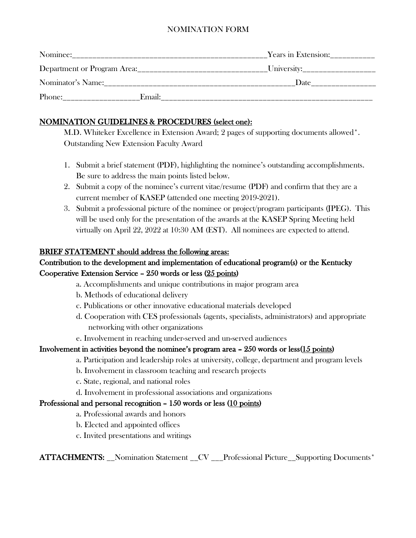### NOMINATION FORM

| Nominee:                    |        | Years in Extension: |
|-----------------------------|--------|---------------------|
| Department or Program Area: |        |                     |
| Nominator's Name:           |        | Date                |
| Phone:                      | Email: |                     |

# NOMINATION GUIDELINES & PROCEDURES (select one):

 M.D. Whiteker Excellence in Extension Award; 2 pages of supporting documents allowed\*. Outstanding New Extension Faculty Award

- 1. Submit a brief statement (PDF), highlighting the nominee's outstanding accomplishments. Be sure to address the main points listed below.
- 2. Submit a copy of the nominee's current vitae/resume (PDF) and confirm that they are a current member of KASEP (attended one meeting 2019-2021).
- 3. Submit a professional picture of the nominee or project/program participants (JPEG). This will be used only for the presentation of the awards at the KASEP Spring Meeting held virtually on April 22, 2022 at 10:30 AM (EST). All nominees are expected to attend.

### BRIEF STATEMENT should address the following areas:

# Contribution to the development and implementation of educational program(s) or the Kentucky Cooperative Extension Service – 250 words or less (25 points)

- a. Accomplishments and unique contributions in major program area
- b. Methods of educational delivery
- c. Publications or other innovative educational materials developed
- d. Cooperation with CES professionals (agents, specialists, administrators) and appropriate networking with other organizations
- e. Involvement in reaching under-served and un-served audiences

# Involvement in activities beyond the nominee's program area  $-250$  words or less $(15 \text{ points})$

- a. Participation and leadership roles at university, college, department and program levels
- b. Involvement in classroom teaching and research projects
- c. State, regional, and national roles
- d. Involvement in professional associations and organizations

# Professional and personal recognition – 150 words or less (10 points)

- a. Professional awards and honors
- b. Elected and appointed offices
- c. Invited presentations and writings

ATTACHMENTS: \_\_Nomination Statement \_\_CV \_\_\_Professional Picture\_\_Supporting Documents\*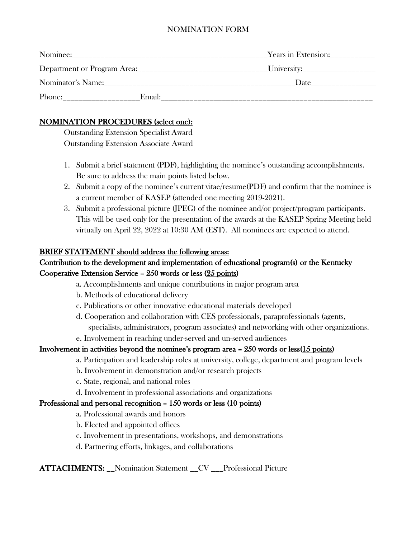### NOMINATION FORM

| Nominee:                    |        | Years in Extension: |
|-----------------------------|--------|---------------------|
| Department or Program Area: |        | University:         |
| Nominator's Name:           |        | Date                |
| Phone:                      | Email: |                     |

### NOMINATION PROCEDURES (select one):

 Outstanding Extension Specialist Award Outstanding Extension Associate Award

- 1. Submit a brief statement (PDF), highlighting the nominee's outstanding accomplishments. Be sure to address the main points listed below.
- 2. Submit a copy of the nominee's current vitae/resume(PDF) and confirm that the nominee is a current member of KASEP (attended one meeting 2019-2021).
- 3. Submit a professional picture (JPEG) of the nominee and/or project/program participants. This will be used only for the presentation of the awards at the KASEP Spring Meeting held virtually on April 22, 2022 at 10:30 AM (EST). All nominees are expected to attend.

### BRIEF STATEMENT should address the following areas:

# Contribution to the development and implementation of educational program(s) or the Kentucky Cooperative Extension Service – 250 words or less (25 points)

- a. Accomplishments and unique contributions in major program area
- b. Methods of educational delivery
- c. Publications or other innovative educational materials developed
- d. Cooperation and collaboration with CES professionals, paraprofessionals (agents, specialists, administrators, program associates) and networking with other organizations.
- e. Involvement in reaching under-served and un-served audiences

# Involvement in activities beyond the nominee's program area  $-250$  words or less $(15 \text{ points})$

- a. Participation and leadership roles at university, college, department and program levels
- b. Involvement in demonstration and/or research projects
- c. State, regional, and national roles
- d. Involvement in professional associations and organizations

# Professional and personal recognition – 150 words or less (10 points)

- a. Professional awards and honors
- b. Elected and appointed offices
- c. Involvement in presentations, workshops, and demonstrations
- d. Partnering efforts, linkages, and collaborations

ATTACHMENTS: Nomination Statement CV Professional Picture